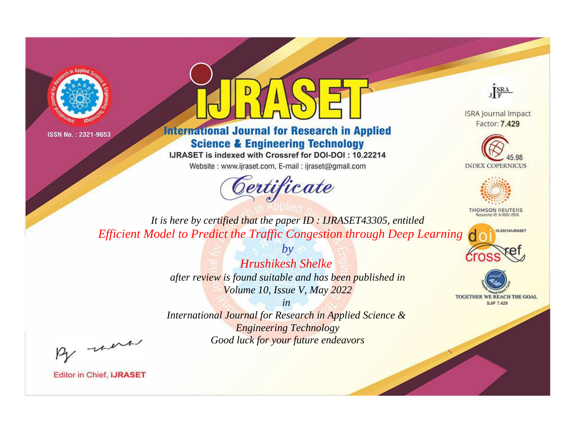



**International Journal for Research in Applied Science & Engineering Technology** 

IJRASET is indexed with Crossref for DOI-DOI: 10.22214

Website: www.ijraset.com, E-mail: ijraset@gmail.com



JERA

**ISRA Journal Impact** Factor: 7.429





**THOMSON REUTERS** 



TOGETHER WE REACH THE GOAL **SJIF 7.429** 

*It is here by certified that the paper ID : IJRASET43305, entitled Efficient Model to Predict the Traffic Congestion through Deep Learning*

> *Hrushikesh Shelke after review is found suitable and has been published in Volume 10, Issue V, May 2022*

*by*

*in* 

*International Journal for Research in Applied Science & Engineering Technology Good luck for your future endeavors*

By morn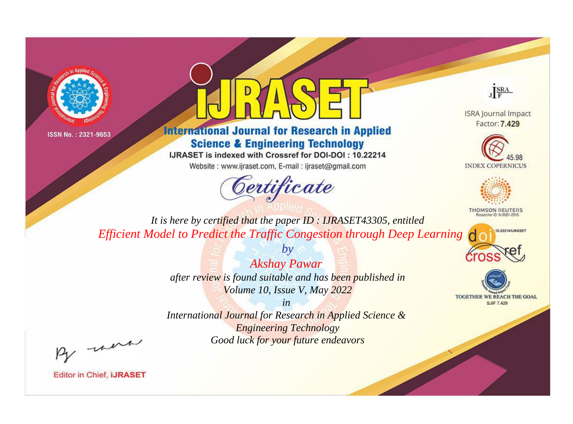



## **International Journal for Research in Applied Science & Engineering Technology**

IJRASET is indexed with Crossref for DOI-DOI: 10.22214

Website: www.ijraset.com, E-mail: ijraset@gmail.com



JERA

**ISRA Journal Impact** Factor: 7.429





**THOMSON REUTERS** 



TOGETHER WE REACH THE GOAL **SJIF 7.429** 

*It is here by certified that the paper ID : IJRASET43305, entitled Efficient Model to Predict the Traffic Congestion through Deep Learning*

> *Akshay Pawar after review is found suitable and has been published in Volume 10, Issue V, May 2022*

*by*

*in* 

*International Journal for Research in Applied Science & Engineering Technology Good luck for your future endeavors*

By morn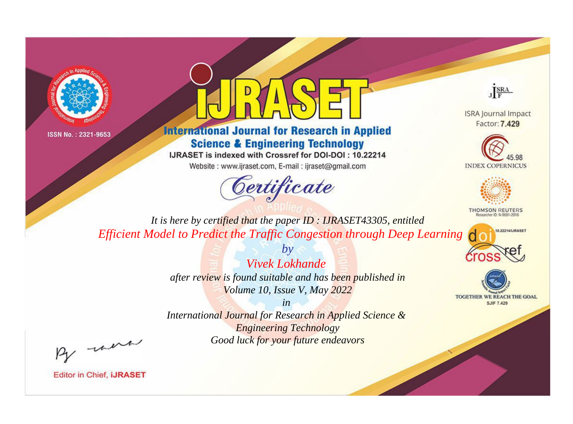



## **International Journal for Research in Applied Science & Engineering Technology**

IJRASET is indexed with Crossref for DOI-DOI: 10.22214

Website: www.ijraset.com, E-mail: ijraset@gmail.com



JERA

**ISRA Journal Impact** Factor: 7.429





**THOMSON REUTERS** 



TOGETHER WE REACH THE GOAL **SJIF 7.429** 

*It is here by certified that the paper ID : IJRASET43305, entitled Efficient Model to Predict the Traffic Congestion through Deep Learning*

> *Vivek Lokhande after review is found suitable and has been published in Volume 10, Issue V, May 2022*

*by*

*in* 

*International Journal for Research in Applied Science & Engineering Technology Good luck for your future endeavors*

By morn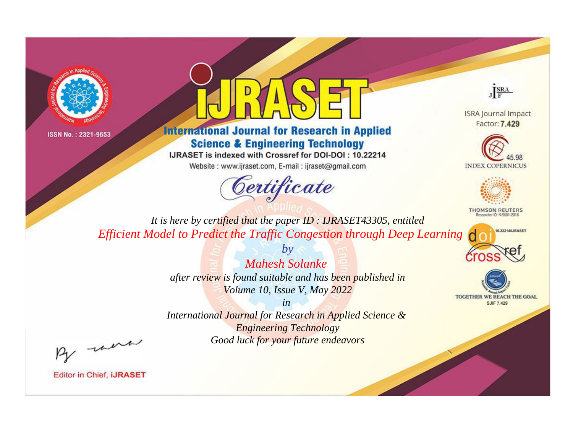



## **International Journal for Research in Applied Science & Engineering Technology**

IJRASET is indexed with Crossref for DOI-DOI: 10.22214

Website: www.ijraset.com, E-mail: ijraset@gmail.com



JERA

**ISRA Journal Impact** Factor: 7.429





**THOMSON REUTERS** 



TOGETHER WE REACH THE GOAL **SJIF 7.429** 

*It is here by certified that the paper ID : IJRASET43305, entitled Efficient Model to Predict the Traffic Congestion through Deep Learning*

> *Mahesh Solanke after review is found suitable and has been published in Volume 10, Issue V, May 2022*

*by*

*in* 

*International Journal for Research in Applied Science & Engineering Technology Good luck for your future endeavors*

By morn